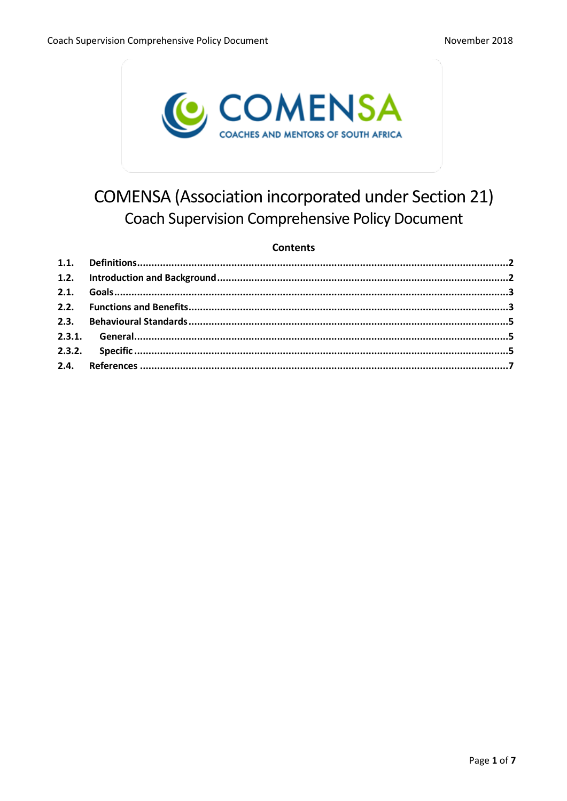

# **COMENSA (Association incorporated under Section 21) Coach Supervision Comprehensive Policy Document**

## **Contents**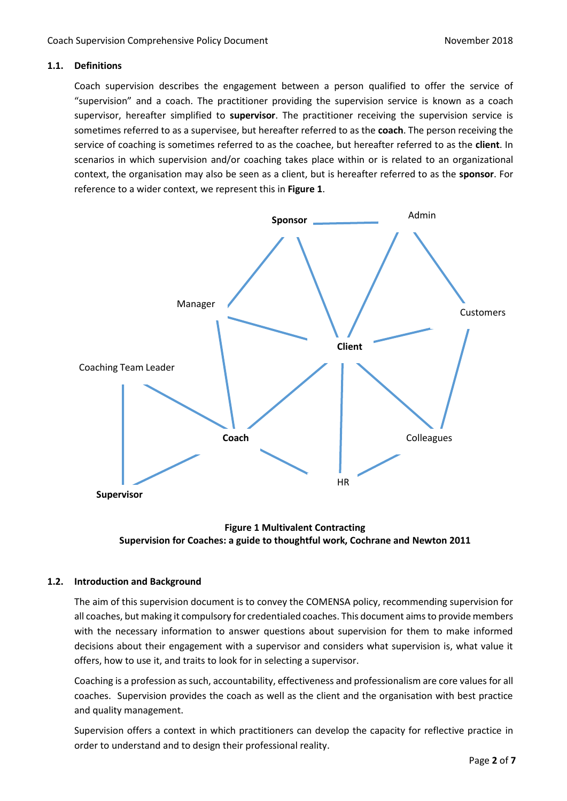## <span id="page-1-0"></span>**1.1. Definitions**

Coach supervision describes the engagement between a person qualified to offer the service of "supervision" and a coach. The practitioner providing the supervision service is known as a coach supervisor, hereafter simplified to **supervisor**. The practitioner receiving the supervision service is sometimes referred to as a supervisee, but hereafter referred to as the **coach**. The person receiving the service of coaching is sometimes referred to as the coachee, but hereafter referred to as the **client**. In scenarios in which supervision and/or coaching takes place within or is related to an organizational context, the organisation may also be seen as a client, but is hereafter referred to as the **sponsor**. For reference to a wider context, we represent this in **Figure 1**.





## <span id="page-1-1"></span>**1.2. Introduction and Background**

The aim of this supervision document is to convey the COMENSA policy, recommending supervision for all coaches, but making it compulsory for credentialed coaches. This document aims to provide members with the necessary information to answer questions about supervision for them to make informed decisions about their engagement with a supervisor and considers what supervision is, what value it offers, how to use it, and traits to look for in selecting a supervisor.

Coaching is a profession as such, accountability, effectiveness and professionalism are core values for all coaches. Supervision provides the coach as well as the client and the organisation with best practice and quality management.

Supervision offers a context in which practitioners can develop the capacity for reflective practice in order to understand and to design their professional reality.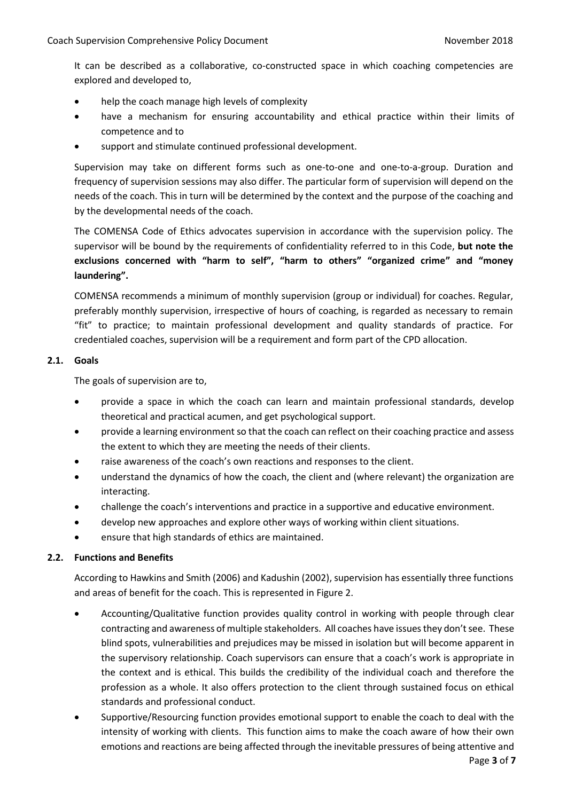It can be described as a collaborative, co-constructed space in which coaching competencies are explored and developed to,

- help the coach manage high levels of complexity
- have a mechanism for ensuring accountability and ethical practice within their limits of competence and to
- support and stimulate continued professional development.

Supervision may take on different forms such as one-to-one and one-to-a-group. Duration and frequency of supervision sessions may also differ. The particular form of supervision will depend on the needs of the coach. This in turn will be determined by the context and the purpose of the coaching and by the developmental needs of the coach.

The COMENSA Code of Ethics advocates supervision in accordance with the supervision policy. The supervisor will be bound by the requirements of confidentiality referred to in this Code, **but note the exclusions concerned with "harm to self", "harm to others" "organized crime" and "money laundering".**

COMENSA recommends a minimum of monthly supervision (group or individual) for coaches. Regular, preferably monthly supervision, irrespective of hours of coaching, is regarded as necessary to remain "fit" to practice; to maintain professional development and quality standards of practice. For credentialed coaches, supervision will be a requirement and form part of the CPD allocation.

## <span id="page-2-0"></span>**2.1. Goals**

The goals of supervision are to,

- provide a space in which the coach can learn and maintain professional standards, develop theoretical and practical acumen, and get psychological support.
- provide a learning environment so that the coach can reflect on their coaching practice and assess the extent to which they are meeting the needs of their clients.
- raise awareness of the coach's own reactions and responses to the client.
- understand the dynamics of how the coach, the client and (where relevant) the organization are interacting.
- challenge the coach's interventions and practice in a supportive and educative environment.
- develop new approaches and explore other ways of working within client situations.
- ensure that high standards of ethics are maintained.

## <span id="page-2-1"></span>**2.2. Functions and Benefits**

According to Hawkins and Smith (2006) and Kadushin (2002), supervision has essentially three functions and areas of benefit for the coach. This is represented in Figure 2.

- Accounting/Qualitative function provides quality control in working with people through clear contracting and awareness of multiple stakeholders. All coaches have issues they don't see. These blind spots, vulnerabilities and prejudices may be missed in isolation but will become apparent in the supervisory relationship. Coach supervisors can ensure that a coach's work is appropriate in the context and is ethical. This builds the credibility of the individual coach and therefore the profession as a whole. It also offers protection to the client through sustained focus on ethical standards and professional conduct.
- Supportive/Resourcing function provides emotional support to enable the coach to deal with the intensity of working with clients. This function aims to make the coach aware of how their own emotions and reactions are being affected through the inevitable pressures of being attentive and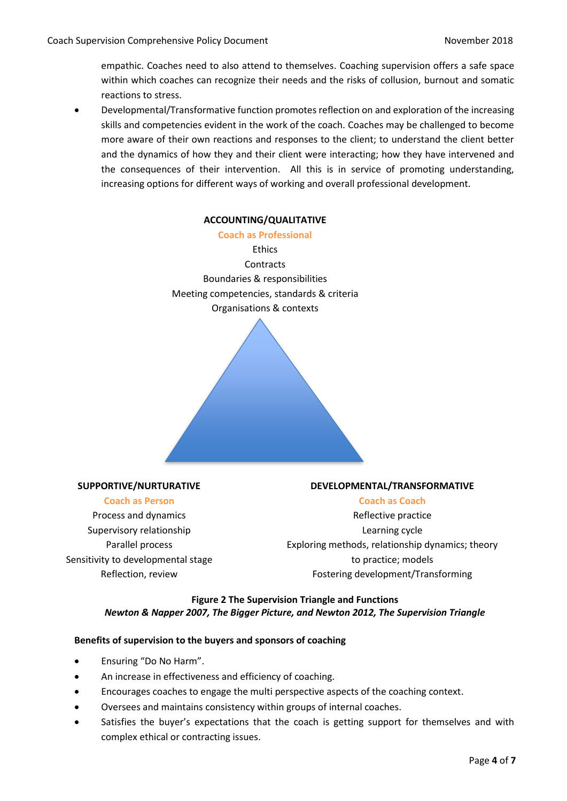empathic. Coaches need to also attend to themselves. Coaching supervision offers a safe space within which coaches can recognize their needs and the risks of collusion, burnout and somatic reactions to stress.

• Developmental/Transformative function promotes reflection on and exploration of the increasing skills and competencies evident in the work of the coach. Coaches may be challenged to become more aware of their own reactions and responses to the client; to understand the client better and the dynamics of how they and their client were interacting; how they have intervened and the consequences of their intervention. All this is in service of promoting understanding, increasing options for different ways of working and overall professional development.

## **ACCOUNTING/QUALITATIVE**

**Coach as Professional Ethics Contracts** Boundaries & responsibilities Meeting competencies, standards & criteria Organisations & contexts

## **SUPPORTIVE/NURTURATIVE**

#### **Coach as Person**

Process and dynamics Supervisory relationship Parallel process Sensitivity to developmental stage Reflection, review

## **DEVELOPMENTAL/TRANSFORMATIVE**

## **Coach as Coach**

Reflective practice Learning cycle Exploring methods, relationship dynamics; theory to practice; models Fostering development/Transforming

## **Figure 2 The Supervision Triangle and Functions** *Newton & Napper 2007, The Bigger Picture, and Newton 2012, The Supervision Triangle*

## **Benefits of supervision to the buyers and sponsors of coaching**

- Ensuring "Do No Harm".
- An increase in effectiveness and efficiency of coaching.
- Encourages coaches to engage the multi perspective aspects of the coaching context.
- Oversees and maintains consistency within groups of internal coaches.
- Satisfies the buyer's expectations that the coach is getting support for themselves and with complex ethical or contracting issues.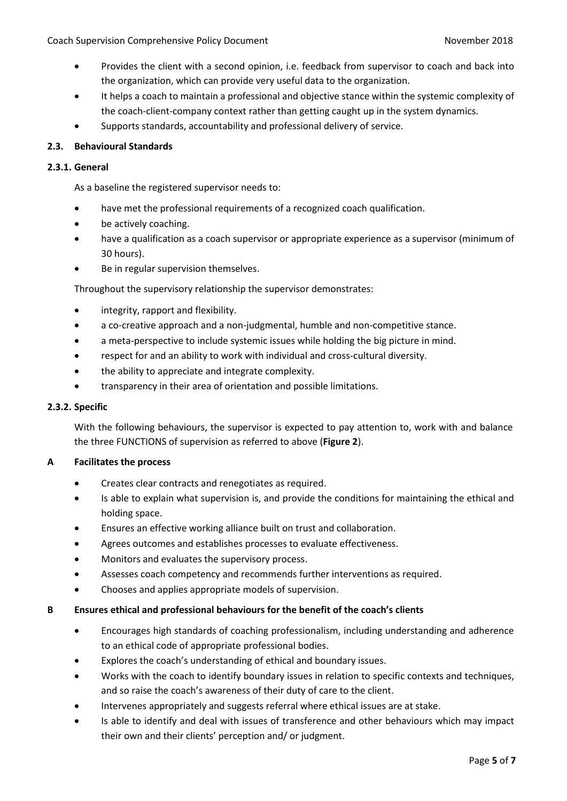- Provides the client with a second opinion, i.e. feedback from supervisor to coach and back into the organization, which can provide very useful data to the organization.
- It helps a coach to maintain a professional and objective stance within the systemic complexity of the coach-client-company context rather than getting caught up in the system dynamics.
- Supports standards, accountability and professional delivery of service.

## <span id="page-4-0"></span>**2.3. Behavioural Standards**

## <span id="page-4-1"></span>**2.3.1. General**

As a baseline the registered supervisor needs to:

- have met the professional requirements of a recognized coach qualification.
- be actively coaching.
- have a qualification as a coach supervisor or appropriate experience as a supervisor (minimum of 30 hours).
- Be in regular supervision themselves.

Throughout the supervisory relationship the supervisor demonstrates:

- integrity, rapport and flexibility.
- a co-creative approach and a non-judgmental, humble and non-competitive stance.
- a meta-perspective to include systemic issues while holding the big picture in mind.
- respect for and an ability to work with individual and cross-cultural diversity.
- the ability to appreciate and integrate complexity.
- transparency in their area of orientation and possible limitations.

## <span id="page-4-2"></span>**2.3.2. Specific**

With the following behaviours, the supervisor is expected to pay attention to, work with and balance the three FUNCTIONS of supervision as referred to above (**Figure 2**).

## **A Facilitates the process**

- Creates clear contracts and renegotiates as required.
- Is able to explain what supervision is, and provide the conditions for maintaining the ethical and holding space.
- Ensures an effective working alliance built on trust and collaboration.
- Agrees outcomes and establishes processes to evaluate effectiveness.
- Monitors and evaluates the supervisory process.
- Assesses coach competency and recommends further interventions as required.
- Chooses and applies appropriate models of supervision.

## **B Ensures ethical and professional behaviours for the benefit of the coach's clients**

- Encourages high standards of coaching professionalism, including understanding and adherence to an ethical code of appropriate professional bodies.
- Explores the coach's understanding of ethical and boundary issues.
- Works with the coach to identify boundary issues in relation to specific contexts and techniques, and so raise the coach's awareness of their duty of care to the client.
- Intervenes appropriately and suggests referral where ethical issues are at stake.
- Is able to identify and deal with issues of transference and other behaviours which may impact their own and their clients' perception and/ or judgment.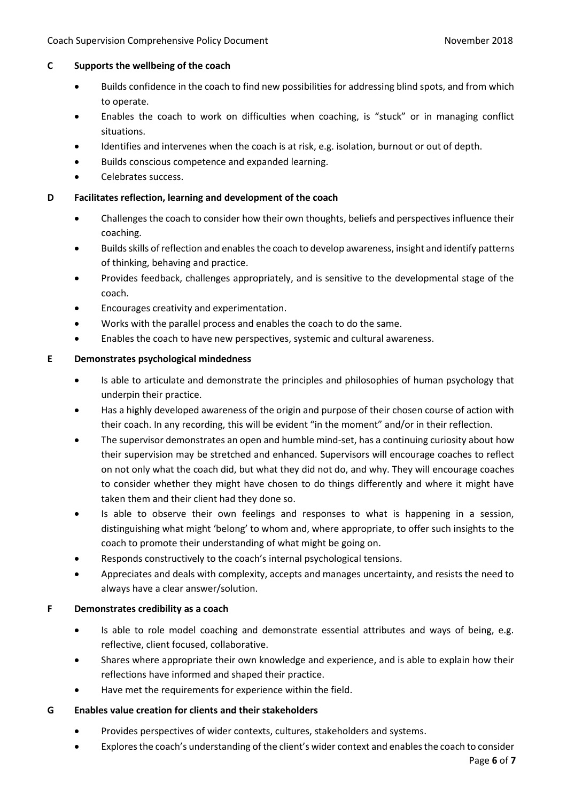## **C Supports the wellbeing of the coach**

- Builds confidence in the coach to find new possibilities for addressing blind spots, and from which to operate.
- Enables the coach to work on difficulties when coaching, is "stuck" or in managing conflict situations.
- Identifies and intervenes when the coach is at risk, e.g. isolation, burnout or out of depth.
- Builds conscious competence and expanded learning.
- Celebrates success.

**D Facilitates reflection, learning and development of the coach**

- Challenges the coach to consider how their own thoughts, beliefs and perspectives influence their coaching.
- Builds skills of reflection and enables the coach to develop awareness, insight and identify patterns of thinking, behaving and practice.
- Provides feedback, challenges appropriately, and is sensitive to the developmental stage of the coach.
- Encourages creativity and experimentation.
- Works with the parallel process and enables the coach to do the same.
- Enables the coach to have new perspectives, systemic and cultural awareness.

## **E Demonstrates psychological mindedness**

- Is able to articulate and demonstrate the principles and philosophies of human psychology that underpin their practice.
- Has a highly developed awareness of the origin and purpose of their chosen course of action with their coach. In any recording, this will be evident "in the moment" and/or in their reflection.
- The supervisor demonstrates an open and humble mind-set, has a continuing curiosity about how their supervision may be stretched and enhanced. Supervisors will encourage coaches to reflect on not only what the coach did, but what they did not do, and why. They will encourage coaches to consider whether they might have chosen to do things differently and where it might have taken them and their client had they done so.
- Is able to observe their own feelings and responses to what is happening in a session, distinguishing what might 'belong' to whom and, where appropriate, to offer such insights to the coach to promote their understanding of what might be going on.
- Responds constructively to the coach's internal psychological tensions.
- Appreciates and deals with complexity, accepts and manages uncertainty, and resists the need to always have a clear answer/solution.

## **F Demonstrates credibility as a coach**

- Is able to role model coaching and demonstrate essential attributes and ways of being, e.g. reflective, client focused, collaborative.
- Shares where appropriate their own knowledge and experience, and is able to explain how their reflections have informed and shaped their practice.
- Have met the requirements for experience within the field.

**G Enables value creation for clients and their stakeholders**

- Provides perspectives of wider contexts, cultures, stakeholders and systems.
- Explores the coach's understanding of the client's wider context and enables the coach to consider